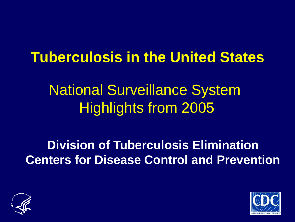#### **Tuberculosis in the United States**

## National Surveillance System Highlights from 2005

#### **Division of Tuberculosis Elimination Centers for Disease Control and Prevention**



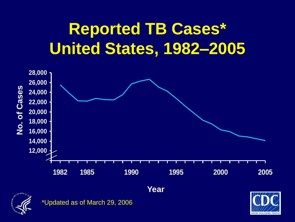# **Reported TB Cases\* United States, 1982–2005**





\*Updated as of March 29, 2006

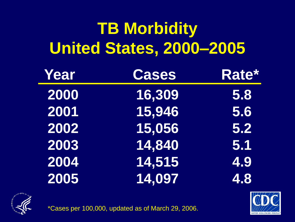# **TB Morbidity United States, 2000–2005**

| Year | <b>Cases</b> | Rate* |
|------|--------------|-------|
| 2000 | 16,309       | 5.8   |
| 2001 | 15,946       | 5.6   |
| 2002 | 15,056       | 5.2   |
| 2003 | 14,840       | 5.1   |
| 2004 | 14,515       | 4.9   |
| 2005 | 14,097       | 4.8   |





\*Cases per 100,000, updated as of March 29, 2006.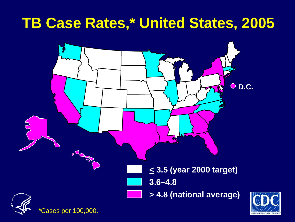#### **TB Case Rates,\* United States, 2005**

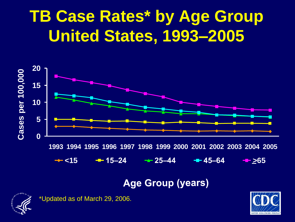# **TB Case Rates\* by Age Group United States, 1993–2005**



#### **Age Group (years)**



\*Updated as of March 29, 2006.

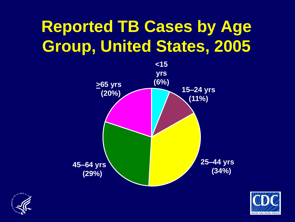# **Reported TB Cases by Age Group, United States, 2005**





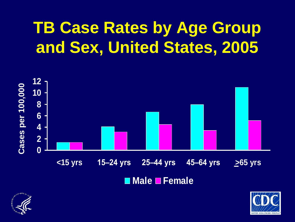# **TB Case Rates by Age Group and Sex, United States, 2005**





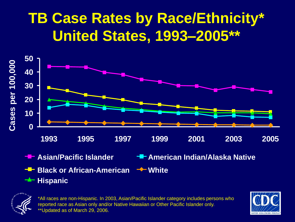## **TB Case Rates by Race/Ethnicity\* United States, 1993–2005\*\***



- 
- **Black or African-American White**  $\rightarrow$  **Hispanic**
- **Asian/Pacific Islander American Indian/Alaska Native**
	-







\*All races are non-Hispanic. In 2003, Asian/Pacific Islander category includes persons who reported race as Asian only and/or Native Hawaiian or Other Pacific Islander only. \*\*Updated as of March 29, 2006.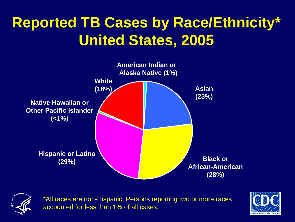## **Reported TB Cases by Race/Ethnicity\* United States, 2005**





\*All races are non-Hispanic. Persons reporting two or more races accounted for less than 1% of all cases.

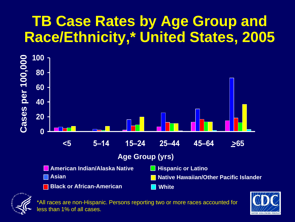#### **TB Case Rates by Age Group and Race/Ethnicity,\* United States, 2005**





\*All races are non-Hispanic. Persons reporting two or more races accounted for ess than 1% of all cases.

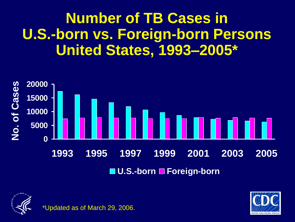#### **Number of TB Cases in U.S.-born vs. Foreign-born Persons United States, 1993–2005\***







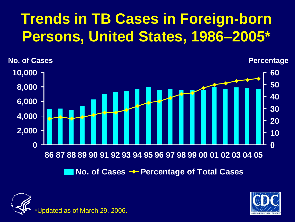## **Trends in TB Cases in Foreign-born Persons, United States, 1986–2005\***





odated as of March 29, 2006.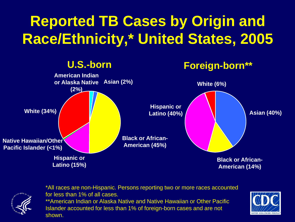## **Reported TB Cases by Origin and Race/Ethnicity,\* United States, 2005**





\*All races are non-Hispanic. Persons reporting two or more races accounted for less than 1% of all cases. \*\*American Indian or Alaska Native and Native Hawaiian or Other Pacific Islander accounted for less than 1% of foreign-born cases and are not shown.

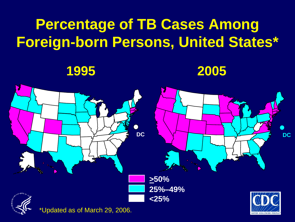### **Percentage of TB Cases Among Foreign-born Persons, United States\***

**1995 2005**



\*Updated as of March 29, 2006.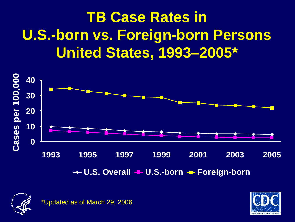## **TB Case Rates in U.S.-born vs. Foreign-born Persons United States, 1993–2005\***





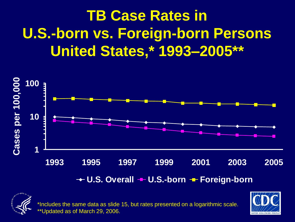## **TB Case Rates in U.S.-born vs. Foreign-born Persons United States,\* 1993–2005\*\***





\*Includes the same data as slide 15, but rates presented on a logarithmic scale. \*Updated as of March 29, 2006.

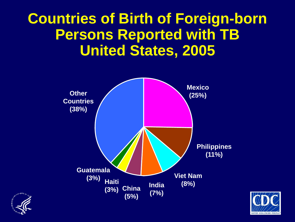#### **Countries of Birth of Foreign-born Persons Reported with TB United States, 2005**





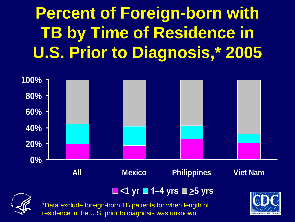# **Percent of Foreign-born with TB by Time of Residence in U.S. Prior to Diagnosis,\* 2005**



#### **<1 yr 1–4 yrs >5 yrs**



\*Data exclude foreign-born TB patients for when length of residence in the U.S. prior to diagnosis was unknown.

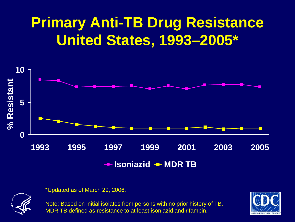### **Primary Anti-TB Drug Resistance United States, 1993–2005\***





\*Updated as of March 29, 2006.

Note: Based on initial isolates from persons with no prior history of TB. MDR TB defined as resistance to at least isoniazid and rifampin.

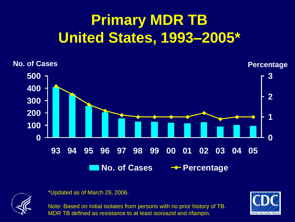## **Primary MDR TB United States, 1993–2005\***





\*Updated as of March 29, 2006.

Note: Based on initial isolates from persons with no prior history of TB. MDR TB defined as resistance to at least isoniazid and rifampin.

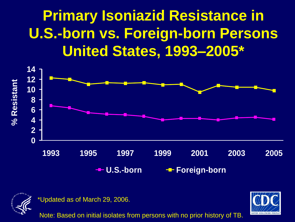### **Primary Isoniazid Resistance in U.S.-born vs. Foreign-born Persons United States, 1993–2005\***





\*Updated as of March 29, 2006.

Note: Based on initial isolates from persons with no prior history of TB.

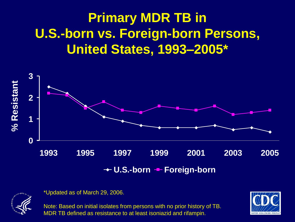#### **Primary MDR TB in U.S.-born vs. Foreign-born Persons, United States, 1993–2005\***





\*Updated as of March 29, 2006.

Note: Based on initial isolates from persons with no prior history of TB. MDR TB defined as resistance to at least isoniazid and rifampin.

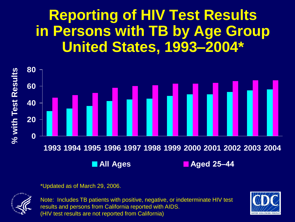#### **Reporting of HIV Test Results in Persons with TB by Age Group United States, 1993–2004\***



\*Updated as of March 29, 2006.



Note: Includes TB patients with positive, negative, or indeterminate HIV test results and persons from California reported with AIDS. (HIV test results are not reported from California)

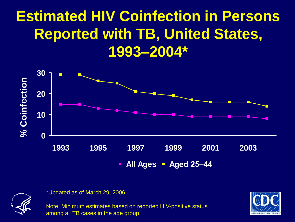### **Estimated HIV Coinfection in Persons Reported with TB, United States, 1993–2004\***





\*Updated as of March 29, 2006.

Note: Minimum estimates based on reported HIV-positive status among all TB cases in the age group.

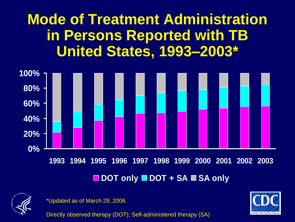**Mode of Treatment Administration in Persons Reported with TB United States, 1993–2003\***





\*Updated as of March 29, 2006.

Directly observed therapy (DOT); Self-administered therapy (SA)